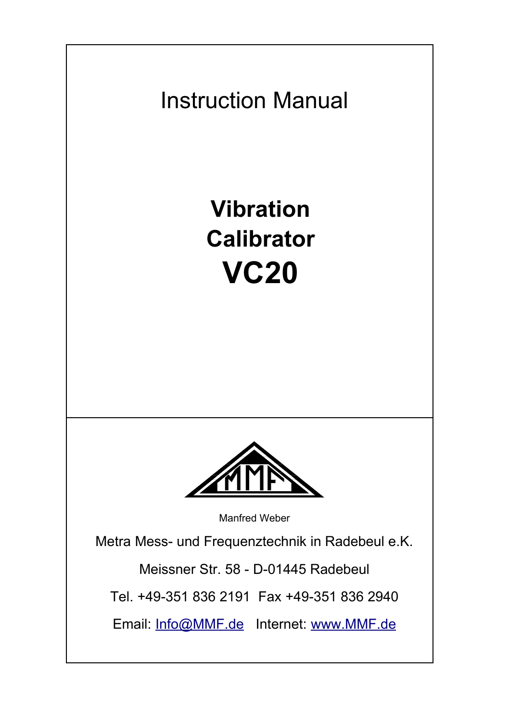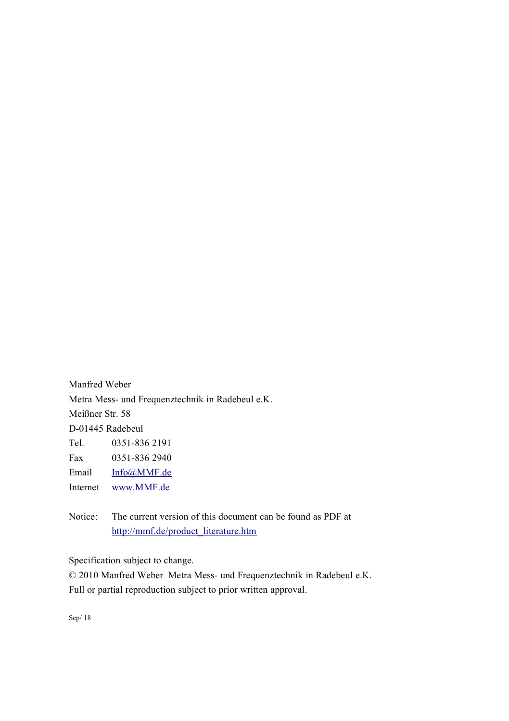Manfred Weber Metra Mess- und Frequenztechnik in Radebeul e.K. Meißner Str. 58 D-01445 Radebeul Tel. 0351-836 2191 Fax 0351-836 2940 Email [Info@MMF.de](mailto:info@mmf.de) Internet [www.MMF.de](http://www.mmf.de/)

Notice: The current version of this document can be found as PDF at [http://mmf.de/product\\_literature.htm](http://mmf.de/product_literature.htm)

Specification subject to change.

© 2010 Manfred Weber Metra Mess- und Frequenztechnik in Radebeul e.K. Full or partial reproduction subject to prior written approval.

Sep/ 18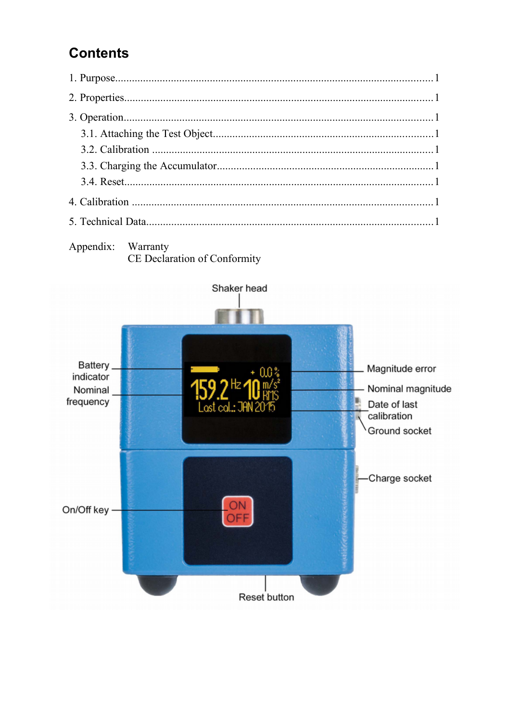# **Contents**



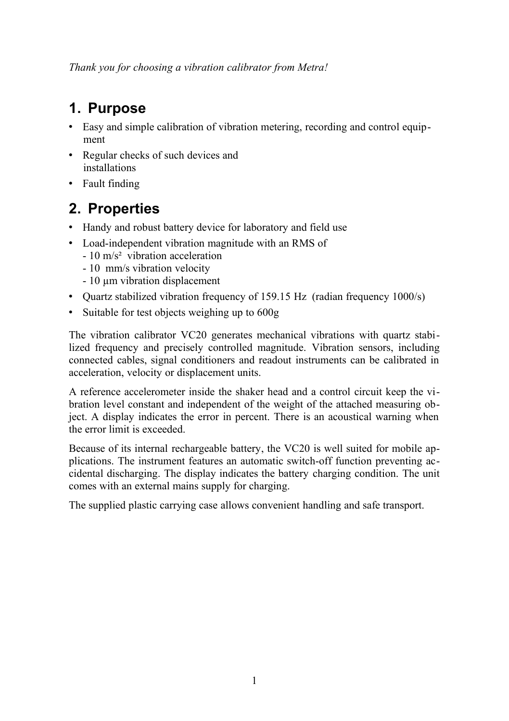*Thank you for choosing a vibration calibrator from Metra!*

# **1. Purpose**

- Easy and simple calibration of vibration metering, recording and control equipment
- Regular checks of such devices and installations
- Fault finding

# **2. Properties**

- Handy and robust battery device for laboratory and field use
- Load-independent vibration magnitude with an RMS of
	- 10 m/s² vibration acceleration
	- 10 mm/s vibration velocity
	- 10 µm vibration displacement
- Ouartz stabilized vibration frequency of 159.15 Hz (radian frequency 1000/s)
- Suitable for test objects weighing up to 600g

The vibration calibrator VC20 generates mechanical vibrations with quartz stabilized frequency and precisely controlled magnitude. Vibration sensors, including connected cables, signal conditioners and readout instruments can be calibrated in acceleration, velocity or displacement units.

A reference accelerometer inside the shaker head and a control circuit keep the vibration level constant and independent of the weight of the attached measuring object. A display indicates the error in percent. There is an acoustical warning when the error limit is exceeded.

Because of its internal rechargeable battery, the VC20 is well suited for mobile applications. The instrument features an automatic switch-off function preventing accidental discharging. The display indicates the battery charging condition. The unit comes with an external mains supply for charging.

The supplied plastic carrying case allows convenient handling and safe transport.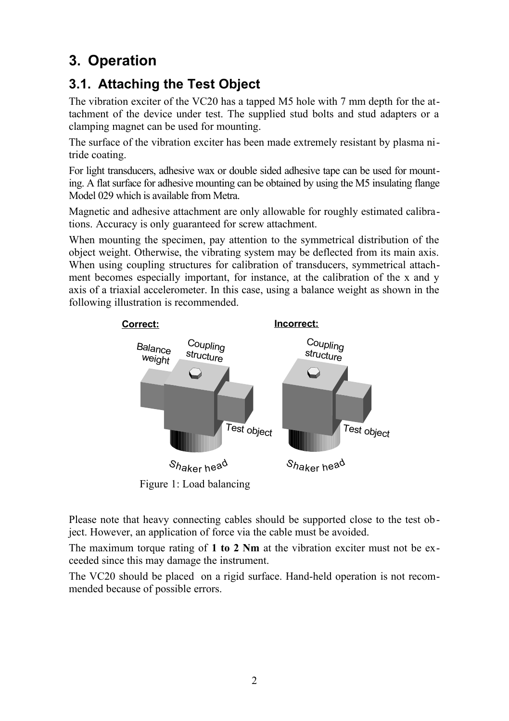# **3. Operation**

## **3.1. Attaching the Test Object**

The vibration exciter of the VC20 has a tapped M5 hole with 7 mm depth for the attachment of the device under test. The supplied stud bolts and stud adapters or a clamping magnet can be used for mounting.

The surface of the vibration exciter has been made extremely resistant by plasma nitride coating.

For light transducers, adhesive wax or double sided adhesive tape can be used for mounting. A flat surface for adhesive mounting can be obtained by using the M5 insulating flange Model 029 which is available from Metra.

Magnetic and adhesive attachment are only allowable for roughly estimated calibrations. Accuracy is only guaranteed for screw attachment.

When mounting the specimen, pay attention to the symmetrical distribution of the object weight. Otherwise, the vibrating system may be deflected from its main axis. When using coupling structures for calibration of transducers, symmetrical attachment becomes especially important, for instance, at the calibration of the x and y axis of a triaxial accelerometer. In this case, using a balance weight as shown in the following illustration is recommended.



Please note that heavy connecting cables should be supported close to the test object. However, an application of force via the cable must be avoided.

The maximum torque rating of **1 to 2 Nm** at the vibration exciter must not be exceeded since this may damage the instrument.

The VC20 should be placed on a rigid surface. Hand-held operation is not recommended because of possible errors.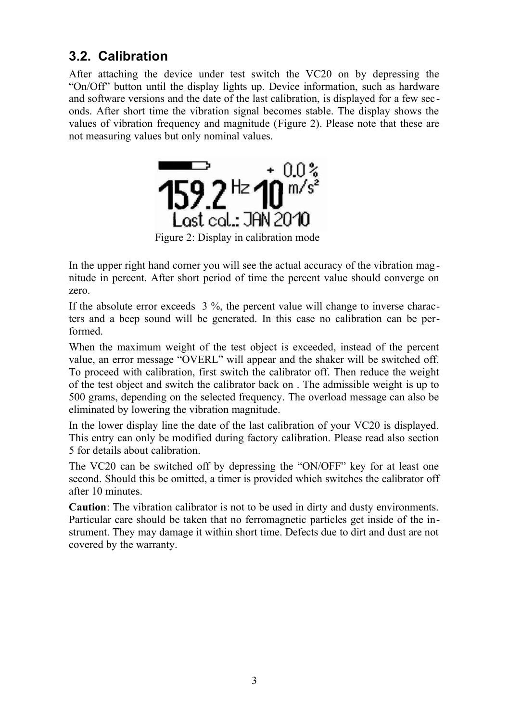#### **3.2. Calibration**

After attaching the device under test switch the VC20 on by depressing the "On/Off" button until the display lights up. Device information, such as hardware and software versions and the date of the last calibration, is displayed for a few sec onds. After short time the vibration signal becomes stable. The display shows the values of vibration frequency and magnitude [\(Figure 2\)](#page-5-0). Please note that these are not measuring values but only nominal values.

<span id="page-5-0"></span>

Figure 2: Display in calibration mode

In the upper right hand corner you will see the actual accuracy of the vibration mag nitude in percent. After short period of time the percent value should converge on zero.

If the absolute error exceeds 3 %, the percent value will change to inverse characters and a beep sound will be generated. In this case no calibration can be performed.

When the maximum weight of the test object is exceeded, instead of the percent value, an error message "OVERL" will appear and the shaker will be switched off. To proceed with calibration, first switch the calibrator off. Then reduce the weight of the test object and switch the calibrator back on . The admissible weight is up to 500 grams, depending on the selected frequency. The overload message can also be eliminated by lowering the vibration magnitude.

In the lower display line the date of the last calibration of your VC20 is displayed. This entry can only be modified during factory calibration. Please read also section [5](#page-7-0) for details about calibration.

The VC20 can be switched off by depressing the "ON/OFF" key for at least one second. Should this be omitted, a timer is provided which switches the calibrator off after 10 minutes.

**Caution**: The vibration calibrator is not to be used in dirty and dusty environments. Particular care should be taken that no ferromagnetic particles get inside of the instrument. They may damage it within short time. Defects due to dirt and dust are not covered by the warranty.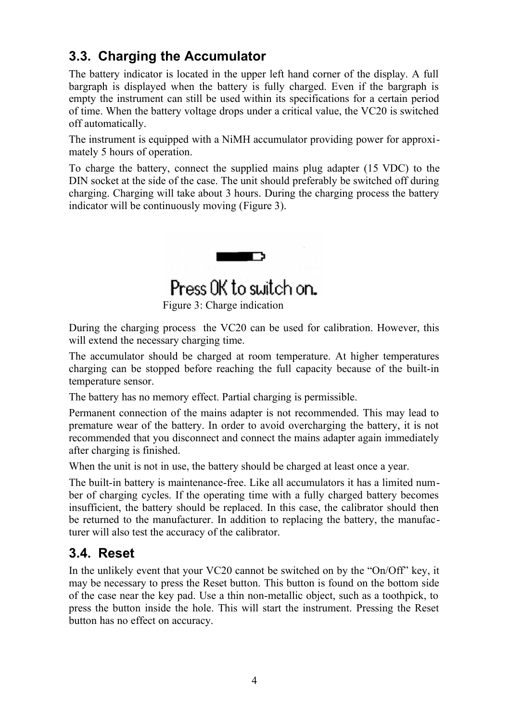### **3.3. Charging the Accumulator**

The battery indicator is located in the upper left hand corner of the display. A full bargraph is displayed when the battery is fully charged. Even if the bargraph is empty the instrument can still be used within its specifications for a certain period of time. When the battery voltage drops under a critical value, the VC20 is switched off automatically.

The instrument is equipped with a NiMH accumulator providing power for approximately 5 hours of operation.

To charge the battery, connect the supplied mains plug adapter (15 VDC) to the DIN socket at the side of the case. The unit should preferably be switched off during charging. Charging will take about 3 hours. During the charging process the battery indicator will be continuously moving [\(Figure 3\)](#page-6-0).

<span id="page-6-0"></span>

Figure 3: Charge indication

During the charging process the VC20 can be used for calibration. However, this will extend the necessary charging time.

The accumulator should be charged at room temperature. At higher temperatures charging can be stopped before reaching the full capacity because of the built-in temperature sensor.

The battery has no memory effect. Partial charging is permissible.

Permanent connection of the mains adapter is not recommended. This may lead to premature wear of the battery. In order to avoid overcharging the battery, it is not recommended that you disconnect and connect the mains adapter again immediately after charging is finished.

When the unit is not in use, the battery should be charged at least once a year.

The built-in battery is maintenance-free. Like all accumulators it has a limited number of charging cycles. If the operating time with a fully charged battery becomes insufficient, the battery should be replaced. In this case, the calibrator should then be returned to the manufacturer. In addition to replacing the battery, the manufacturer will also test the accuracy of the calibrator.

#### **3.4. Reset**

In the unlikely event that your VC20 cannot be switched on by the "On/Off" key, it may be necessary to press the Reset button. This button is found on the bottom side of the case near the key pad. Use a thin non-metallic object, such as a toothpick, to press the button inside the hole. This will start the instrument. Pressing the Reset button has no effect on accuracy.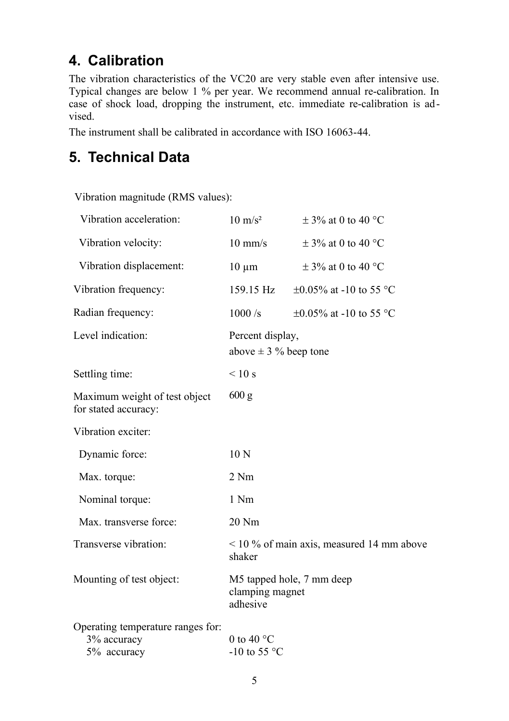# <span id="page-7-0"></span>**4. Calibration**

The vibration characteristics of the VC20 are very stable even after intensive use. Typical changes are below 1 % per year. We recommend annual re-calibration. In case of shock load, dropping the instrument, etc. immediate re-calibration is advised.

The instrument shall be calibrated in accordance with ISO 16063-44.

## **5. Technical Data**

Vibration magnitude (RMS values):

| Vibration acceleration:                                         | $10 \text{ m/s}^2$                                       | $\pm$ 3% at 0 to 40 °C       |
|-----------------------------------------------------------------|----------------------------------------------------------|------------------------------|
| Vibration velocity:                                             | $10 \text{ mm/s}$                                        | $\pm$ 3% at 0 to 40 °C       |
| Vibration displacement:                                         | $10 \mu m$                                               | $\pm$ 3% at 0 to 40 °C       |
| Vibration frequency:                                            | 159.15 Hz                                                | $\pm 0.05\%$ at -10 to 55 °C |
| Radian frequency:                                               | 1000/s                                                   | $\pm 0.05\%$ at -10 to 55 °C |
| Level indication:                                               | Percent display,<br>above $\pm$ 3 % beep tone            |                              |
| Settling time:                                                  | $\leq 10$ s                                              |                              |
| Maximum weight of test object<br>for stated accuracy:           | 600 g                                                    |                              |
| Vibration exciter:                                              |                                                          |                              |
| Dynamic force:                                                  | 10 <sub>N</sub>                                          |                              |
| Max. torque:                                                    | 2 Nm                                                     |                              |
| Nominal torque:                                                 | 1 Nm                                                     |                              |
| Max. transverse force:                                          | 20 Nm                                                    |                              |
| Transverse vibration:                                           | $\leq$ 10 % of main axis, measured 14 mm above<br>shaker |                              |
| Mounting of test object:                                        | M5 tapped hole, 7 mm deep<br>clamping magnet<br>adhesive |                              |
| Operating temperature ranges for:<br>3% accuracy<br>5% accuracy | 0 to 40 $^{\circ}$ C<br>-10 to 55 $\degree$ C            |                              |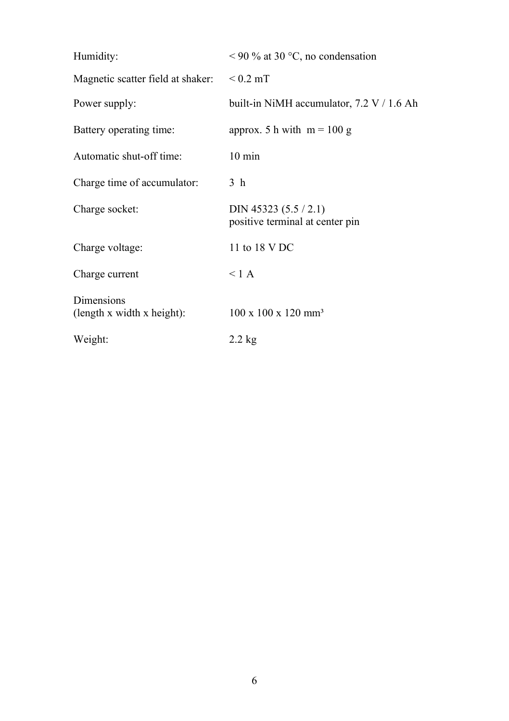| Humidity:                                       | $<$ 90 % at 30 °C, no condensation                         |
|-------------------------------------------------|------------------------------------------------------------|
| Magnetic scatter field at shaker:               | $< 0.2$ mT                                                 |
| Power supply:                                   | built-in NiMH accumulator, $7.2 \text{ V}$ / 1.6 Ah        |
| Battery operating time:                         | approx. 5 h with $m = 100$ g                               |
| Automatic shut-off time:                        | $10 \text{ min}$                                           |
| Charge time of accumulator:                     | 3 <sub>h</sub>                                             |
| Charge socket:                                  | DIN 45323 $(5.5 / 2.1)$<br>positive terminal at center pin |
| Charge voltage:                                 | 11 to 18 V DC                                              |
| Charge current                                  | $<$ 1 A                                                    |
| <b>Dimensions</b><br>(length x width x height): | $100 \times 100 \times 120$ mm <sup>3</sup>                |
| Weight:                                         | $2.2 \text{ kg}$                                           |